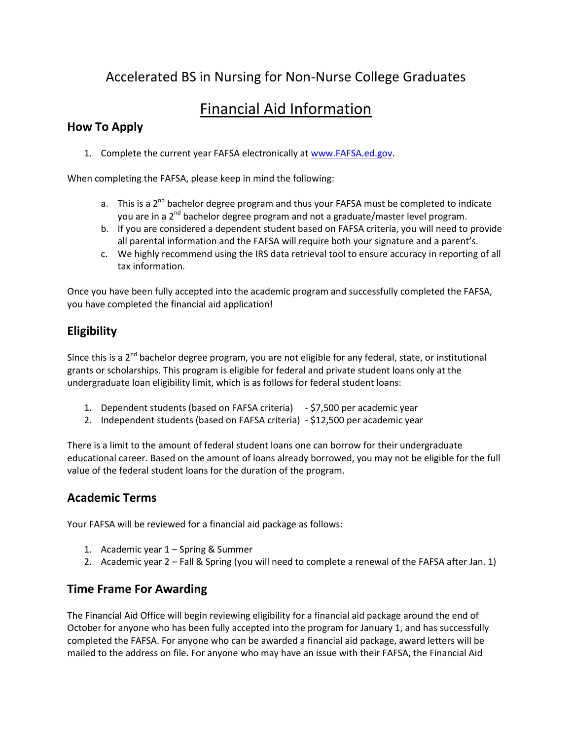# Accelerated BS in Nursing for Non-Nurse College Graduates

# Financial Aid Information

# **How To Apply**

1. Complete the current year FAFSA electronically at [www.FAFSA.ed.gov.](http://www.fafsa.ed.gov/)

When completing the FAFSA, please keep in mind the following:

- a. This is a  $2^{nd}$  bachelor degree program and thus your FAFSA must be completed to indicate you are in a 2<sup>nd</sup> bachelor degree program and not a graduate/master level program.
- b. If you are considered a dependent student based on FAFSA criteria, you will need to provide all parental information and the FAFSA will require both your signature and a parent's.
- c. We highly recommend using the IRS data retrieval tool to ensure accuracy in reporting of all tax information.

Once you have been fully accepted into the academic program and successfully completed the FAFSA, you have completed the financial aid application!

# **Eligibility**

Since this is a 2<sup>nd</sup> bachelor degree program, you are not eligible for any federal, state, or institutional grants or scholarships. This program is eligible for federal and private student loans only at the undergraduate loan eligibility limit, which is as follows for federal student loans:

- 1. Dependent students (based on FAFSA criteria) \$7,500 per academic year
- 2. Independent students (based on FAFSA criteria) \$12,500 per academic year

There is a limit to the amount of federal student loans one can borrow for their undergraduate educational career. Based on the amount of loans already borrowed, you may not be eligible for the full value of the federal student loans for the duration of the program.

# **Academic Terms**

Your FAFSA will be reviewed for a financial aid package as follows:

- 1. Academic year 1 Spring & Summer
- 2. Academic year 2 Fall & Spring (you will need to complete a renewal of the FAFSA after Jan. 1)

### **Time Frame For Awarding**

The Financial Aid Office will begin reviewing eligibility for a financial aid package around the end of October for anyone who has been fully accepted into the program for January 1, and has successfully completed the FAFSA. For anyone who can be awarded a financial aid package, award letters will be mailed to the address on file. For anyone who may have an issue with their FAFSA, the Financial Aid